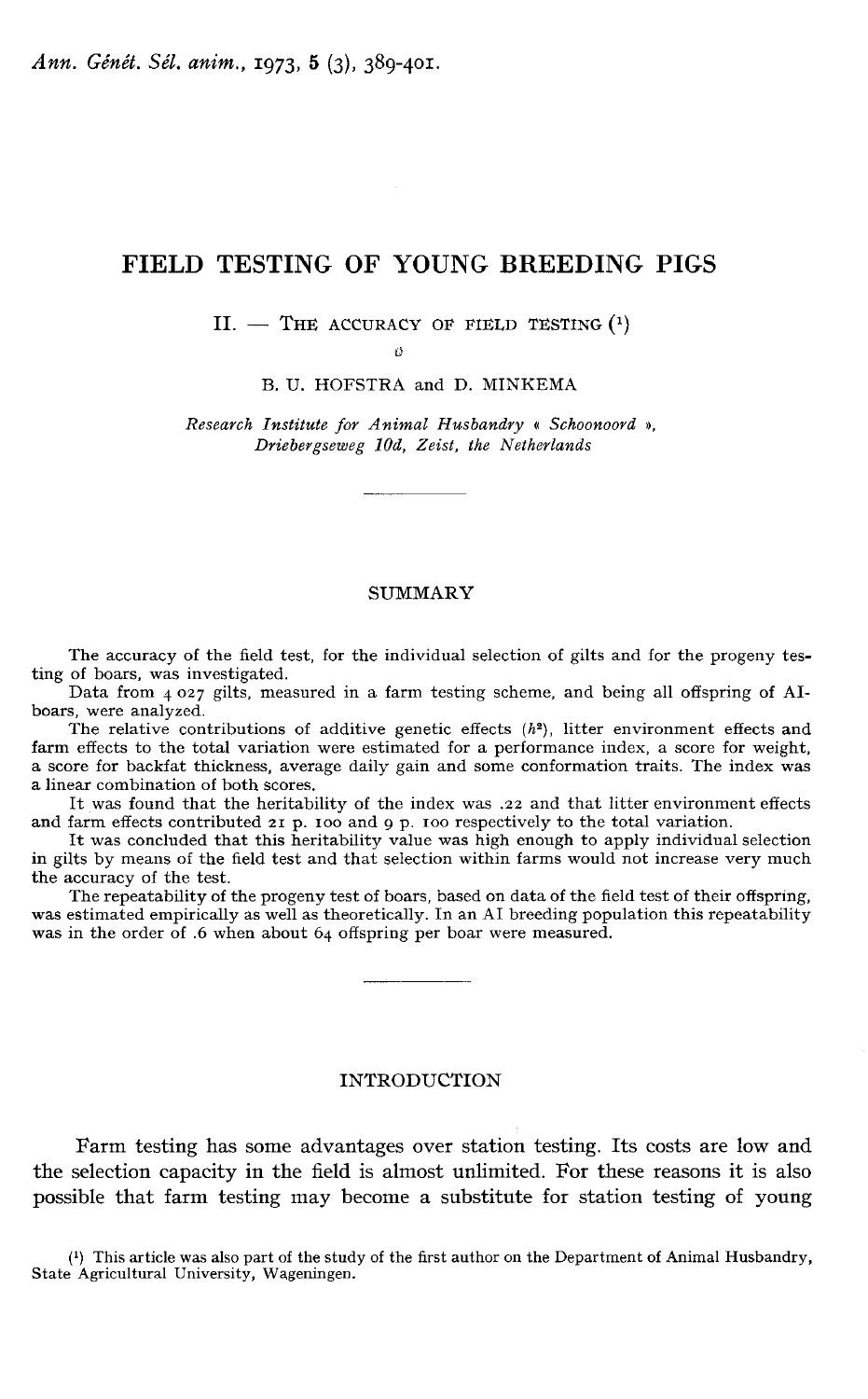Ann. Génét. Sél. anim., 1973, 5 (3), 389-401.

# FIELD TESTING OF YOUNG BREEDING PIGS

II. - THE ACCURACY OF FIELD TESTING  $(1)$ 

B. U. HOESTRA and D. MINKEMA

Research Institute for Animal Husbandry « Schoonoovd », Dviebevgseweg IOd, Zeist, the Nethevlands

## SUMMARY

The accuracy of the field test, for the individual selection of gilts and for the progeny tes-<br>ting of boars, was investigated.

Data from  $4027$  gilts, measured in a farm testing scheme, and being all offspring of AI-boars, were analyzed.

The relative contributions of additive genetic effects  $(h^2)$ , litter environment effects and farm effects to the total variation were estimated for a performance index, a score for weight, a score for backfat thickness, average daily gain and some conformation traits. The index was a linear combination of both scores.

It was found that the heritability of the index was .22 and that litter environment effects and farm effects contributed 2i p. ioo and 9 p. <sup>100</sup> respectively to the total variation.

It was concluded that this heritability value was high enough to apply individual selection in gilts by means of the field test and that selection within farms would not increase very much the accuracy of the test.<br>The repeatability of the progeny test of boars, based on data of the field test of their offspring,

was estimated empirically as well as theoretically. In an AI breeding population this repeatability<br>was in the order of .6 when about 64 offspring per boar were measured.

#### INTRODUCTION

Farm testing has some advantages over station testing. Its costs are low and the selection capacity in the field is almost unlimited. For these reasons it is also possible that farm testing may become a substitute for station testing of young

(1) This article was also part of the study of the first author on the Department of Animal Husbandry, State Agricultural University, Wageningen.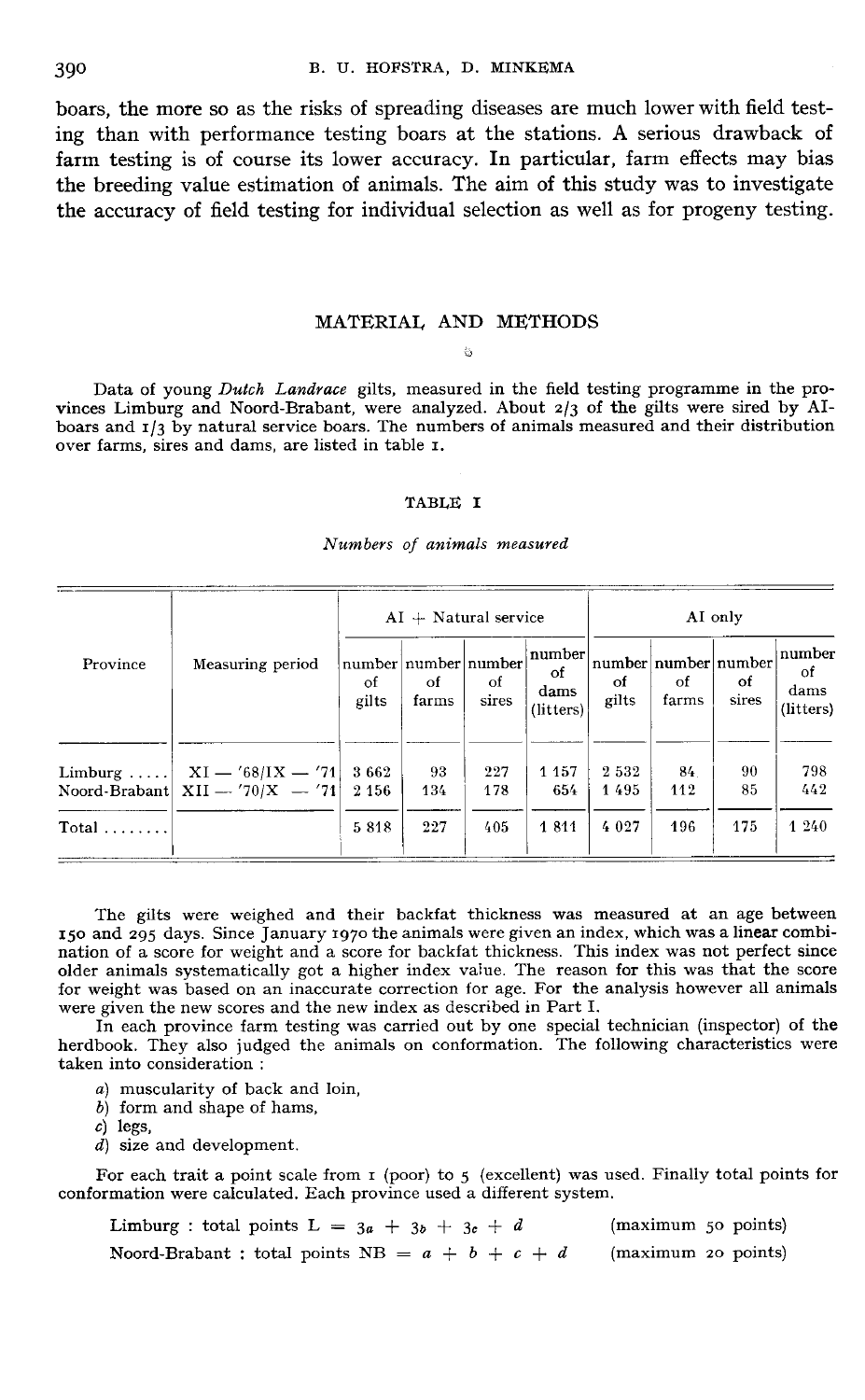boars, the more so as the risks of spreading diseases are much lower with field testing than with performance testing boars at the stations. A serious drawback of farm testing is of course its lower accuracy. In particular, farm effects may bias the breeding value estimation of animals. The aim of this study was to investigate the accuracy of field testing for individual selection as well as for progeny testing.

# MATERIAL AND METHODS  $\sqrt{2}$

Data of young Dutch Landrace gilts, measured in the field testing programme in the provinces Limburg and Noord-Brabant, were analyzed. About 2/3 of the gilts were sired by AIboars and i/3 by natural service boars. The numbers of animals measured and their distribution over farms, sires and dams, are listed in table i.

#### TABLE I

#### Numbers of animals measured

|                |                                                                   |                 |             | $AI + Natural$                      |                                   |                                     |             | AI only     |                                   |
|----------------|-------------------------------------------------------------------|-----------------|-------------|-------------------------------------|-----------------------------------|-------------------------------------|-------------|-------------|-----------------------------------|
| Province       | Measuring period                                                  | οf<br>gilts     | оf<br>farms | number number number<br>of<br>sires | number<br>οf<br>dams<br>(litters) | number number number<br>of<br>gilts | οf<br>farms | оf<br>sires | number<br>οf<br>dams<br>(litters) |
|                | Limburg    $XI - 68/IX - 71$<br>Noord-Brabant $XII - '70/X - '71$ | 3662<br>2 1 5 6 | 93<br>134   | 227<br>178                          | 1 1 5 7<br>654                    | 2 5 3 2<br>1495                     | 84<br>112   | 90<br>85    | 798<br>442                        |
| Total $\ldots$ |                                                                   | 5818            | 227         | 405                                 | 1811                              | 4 0 2 7                             | 196         | 175         | 1 240                             |

The gilts were weighed and their backfat thickness was measured at an age between <sup>150</sup> and 295 days. Since January 1970 the animals were given an index, which was a linear combination of a score for weight and a score for backfat thickness. This index was not perfect since older animals systematically got a higher index vaiue. The reason for this was that the score for weight was based on an inaccurate correction for age. For the analysis however all animals were given the new scores and the new index as described in Part I.

In each province farm testing was carried out by one special technician (inspector) of the herdbook. They also judged the animals on conformation. The following characteristics were taken into consideration :

- a) muscularity of back and loin,
- b) form and shape of hams,
- c) legs,
- d) size and development.

For each trait a point scale from I (poor) to 5 (excellent) was used. Finally total points for conformation were calculated. Each province used a different system.

| LUKS.<br>size and development.                                                                                                                             |                     |
|------------------------------------------------------------------------------------------------------------------------------------------------------------|---------------------|
| or each trait a point scale from 1 (poor) to 5 (excellent) was used. Finally total point<br>mation were calculated. Each province used a different system. |                     |
| Limburg : total points $L = 3a + 3b + 3c + d$                                                                                                              | (maximum 50 points) |
| Noord-Brabant : total points NB = $a + b + c + d$                                                                                                          | (maximum 20 points) |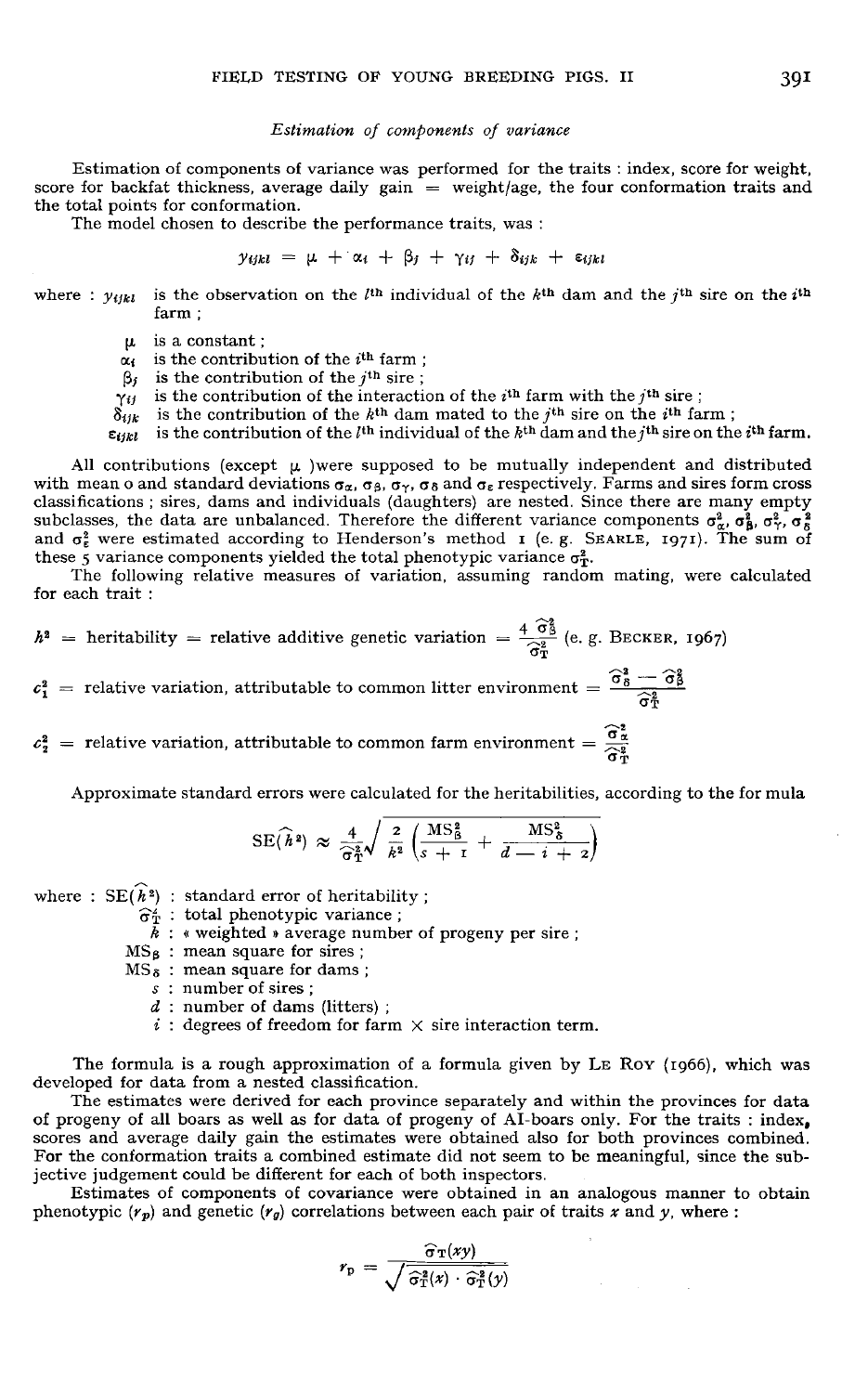#### Estimation of components of variance

Estimation of components of variance was performed for the traits : index, score for weight, score for backfat thickness, average daily gain  $=$  weight/age, the four conformation traits and the total points for conformation.

The model chosen to describe the performance traits, was :

$$
y_{ijkl} = \mu + \alpha_i + \beta_j + \gamma_{ij} + \delta_{ijk} + \epsilon_{ijkl}
$$

where :  $y_{ijkl}$  is the observation on the  $l^{th}$  individual of the  $k^{th}$  dam and the  $j^{th}$  sire on the  $i^{th}$ farm ;

- $\mu$  is a constant :
- $\alpha_i$  is the contribution of the i<sup>th</sup> farm;
- $\beta_j$  is the contribution of the j<sup>th</sup> sire ;
- $\gamma_{ij}$  is the contribution of the interaction of the *i*<sup>th</sup> farm with the *j*<sup>th</sup> sire;
- $\delta_{ijk}$  is the contribution of the k<sup>th</sup> dam mated to the j<sup>th</sup> sire on the i<sup>th</sup> farm;

 $\varepsilon_{ijkl}$  is the contribution of the *l*<sup>th</sup> individual of the *k*<sup>th</sup> dam and the *j*<sup>th</sup> sire on the *i*<sup>th</sup> farm.

All contributions (except  $\mu$  )were supposed to be mutually independent and distributed with mean o and standard deviations  $\sigma_{\alpha}$ ,  $\sigma_{\beta}$ ,  $\sigma_{\gamma}$ ,  $\sigma_{\delta}$  and  $\sigma_{\epsilon}$  respectively. Farms and sires form cross classifications ; sires, dams and individuals (daughters) are nested. Since there are many empty subclasses, the data are unbalanced. Therefore the different variance components  $\sigma_{\alpha}^2$ ,  $\sigma_{\beta}^2$ ,  $\sigma_{\gamma}^2$ ,  $\sigma_{\delta}^2$  and  $\sigma_{\epsilon}^2$  were estimated according to Henderson's method **i** (e. g. SEARLE, 1971). The s

for each trait :

these 5 variance components yielded the total phenotypic variance 
$$
\sigma_T^2
$$
.  
The following relative measures of variation, assuming random mating, were calculated  
for each trait :  
 $h^2$  = heritability = relative additive genetic variation =  $\frac{4}{\hat{\sigma}_T^2}$  (e. g. BECKER, 1967)

 $h^2$  = heritability = relative additive genetic variation =  $\frac{\widehat{\sigma}_{\rm T}^2}{\widehat{\sigma}_{\rm T}^2}$  (e. g. BECKER,<br>  $c_1^2$  = relative variation, attributable to common litter environment =  $\frac{\widehat{\sigma}_{\rm S}^2 - \widehat{\sigma}_{\rm S}^2}{\widehat{\sigma}_{\rm T}$  $\widehat{\sigma}_{\ast}^{\ast}$ 

 $c_2^2$  = relative variation, attributable to common farm environment =  $\frac{\sigma_{\alpha}^2}{\widehat{\sigma}_{\rm T}^2}$ 

Approximate standard errors were calculated for the heritabilities, according to the for mula

$$
\text{SE}(\widehat{h}^2) \approx \frac{4}{\widehat{\sigma}_T^2} \sqrt{\frac{2}{k^2} \left( \frac{\text{MS}_B^2}{s+1} + \frac{\text{MS}_\delta^2}{d-i+2} \right)}
$$

where :  $SE(h^2)$  : standard error of heritability ;<br> $\hat{\sigma}_T^2$  : total phenotypic variance ;

- $\overline{k}$  : « weighted » average number of progeny per sire ;
- $MS_{\beta}$  : mean square for sires ;
- $MS_{\delta}$  : mean square for dams;<br> $s$  : number of sires;
	-
	- $d$ : number of dams (litters);
	- $i$  : degrees of freedom for farm  $\times$  sire interaction term.

The formula is a rough approximation of a formula given by LE Roy (1966), which was developed for data from a nested classification.

The estimates were derived for each province separately and within the provinces for data of progeny of all boars as well as for data of progeny of AI-boars only. For the traits : index, scores and average daily gain the estimates were obtained also for both provinces combined. For the conformation traits a combined estimate did not seem to be meaningful, since the subjective judgement could be different for each of both inspectors.

Estimates of components of covariance were obtained in an analogous manner to obtain phenotypic  $(r_p)$  and genetic  $(r_q)$  correlations between each pair of traits x and y, where :

$$
r_{\rm p} = \frac{\widehat{\sigma}_{\rm T}(xy)}{\sqrt{\widehat{\sigma}_{\rm T}^2(x) \cdot \widehat{\sigma}_{\rm T}^2(y)}}
$$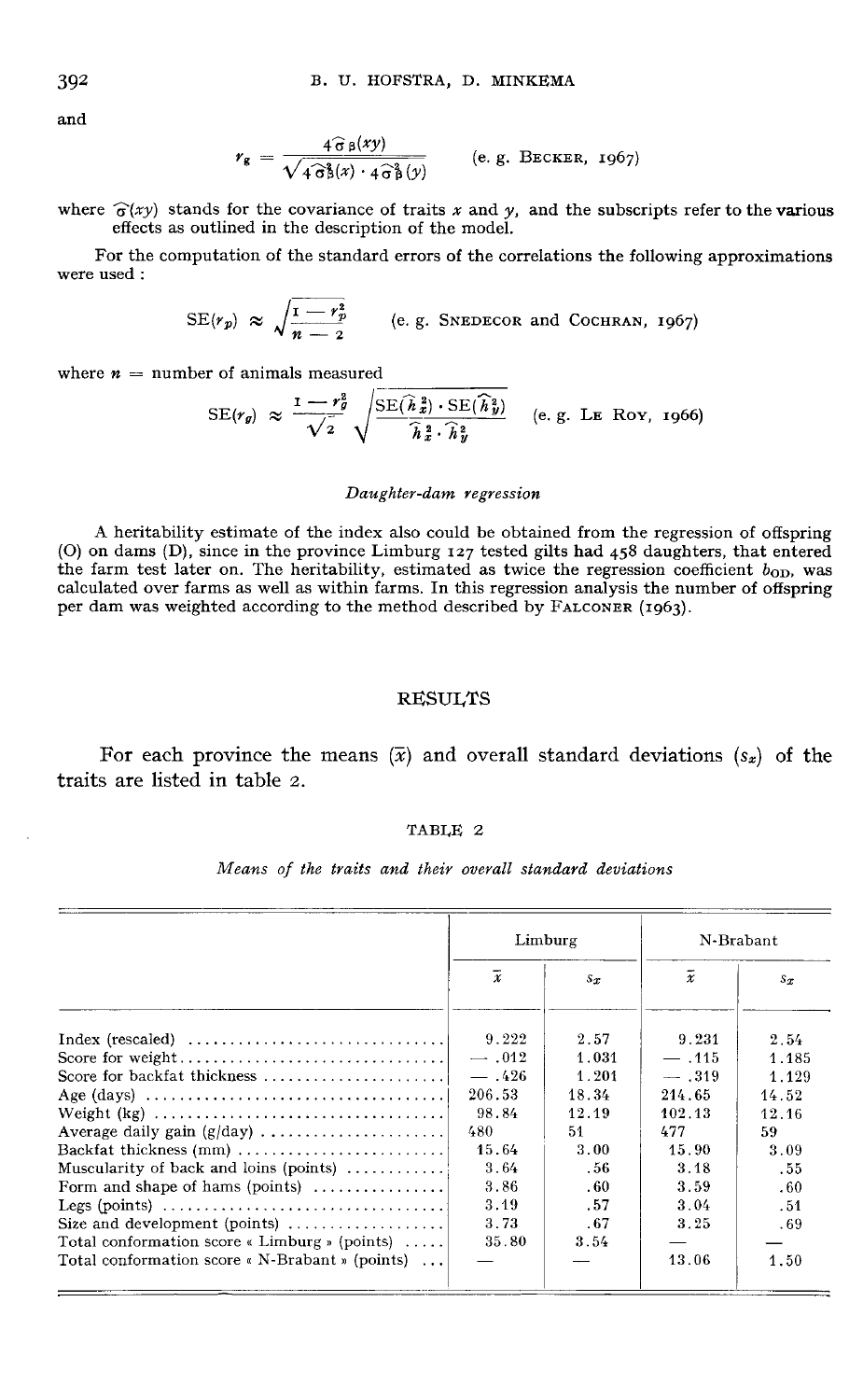and

$$
r_{\mathbf{g}} = \frac{4\widehat{\sigma}\mathbf{g}(xy)}{\sqrt{4\widehat{\sigma}\mathbf{g}^2(x)\cdot 4\widehat{\sigma}\mathbf{g}^2(y)}} \qquad \text{(e. g. BECKER, 1967)}
$$

where  $\hat{\sigma}(xy)$  stands for the covariance of traits x and y, and the subscripts refer to the various effects as outlined in the description of the model.

For the computation of the standard errors of the correlations the following approximations were used :

$$
SE(r_p) \approx \sqrt{\frac{1 - r_p^2}{n - 2}}
$$
 (e. g. SNEDECOR and CoCHRAN, 1967)

where  $n =$  number of animals measured

SE(*r<sub>g</sub>*) 
$$
\approx \frac{1-r_g^2}{\sqrt{2}} \sqrt{\frac{\text{SE}(\hat{h}_x^2) \cdot \text{SE}(\hat{h}_y^2)}{\hat{h}_x^2 \cdot \hat{h}_y^2}}
$$
 (e. g. LE Roy, 1966)

#### Daughtev-dam regression

A heritability estimate of the index also could be obtained from the regression of offspring A heritability estimate of the index also could be obtained from the regression of offspring (O) on dams (D), since in the province Limburg 127 tested gilts had 458 daughters, that entered the farm test later on. The heri calculated over farms as well as within farms. In this regression analysis the number of offspring per dam was weighted according to the method described by  $FALCONF(R(1963))$ .

## RESULTS

For each province the means  $(\bar{x})$  and overall standard deviations  $(s_x)$  of the traits are listed in table 2.

## TABLE 2

#### Means of the traits and their overall standard deviations

|                                                                                   |                | Limburg |                | N-Brabant |
|-----------------------------------------------------------------------------------|----------------|---------|----------------|-----------|
|                                                                                   | $\overline{x}$ | $s_x$   | $\overline{x}$ | $s_x$     |
|                                                                                   | 9.222          | 2.57    | 9.231          | 2.54      |
|                                                                                   | $-.012$        | 1.031   | $-.115$        | 1.185     |
| Score for backfat thickness                                                       | $-$ .426       | 1.201   | $-.319$        | 1.129     |
|                                                                                   | 206.53         | 18.34   | 214.65         | 14.52     |
|                                                                                   | 98.84          | 12.19   | 102.13         | 12.16     |
|                                                                                   | 480            | 51      | 477            | 59        |
|                                                                                   | 15.64          | 3.00    | 15.90          | 3.09      |
| Muscularity of back and loins (points) $\dots \dots \dots$                        | 3.64           | - 56    | 3.18           | . 55      |
| Form and shape of hams (points) $\dots\dots\dots\dots\dots$                       | 3.86           | . 60    | 3.59           | .60       |
| Legs (points) $\dots \dots \dots \dots \dots \dots \dots \dots \dots \dots \dots$ | 3.19           | .57     | 3.04           | . 51      |
| Size and development (points) $\dots \dots \dots \dots \dots$                     | 3.73           | . 67    | 3.25           | .69       |
| Total conformation score « Limburg » (points)                                     | 35.80          | 3.54    |                |           |
| Total conformation score « N-Brabant » (points)                                   |                |         | 13.06          | 1.50      |

392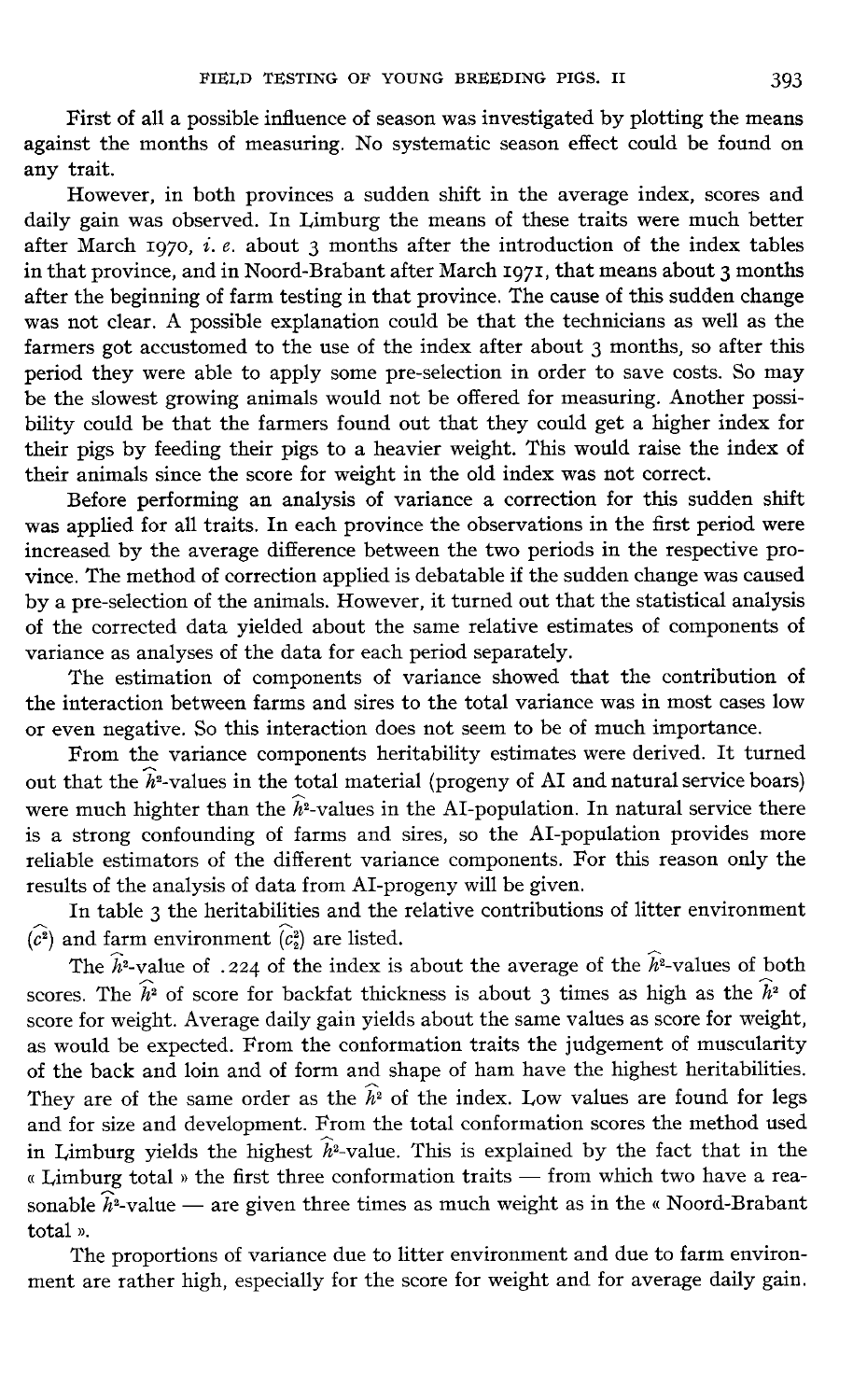First of all a possible influence of season was investigated by plotting the means against the months of measuring. No systematic season effect could be found on any trait.

However, in both provinces a sudden shift in the average index, scores and daily gain was observed. In Limburg the means of these traits were much better after March 1970, *i. e.* about 3 months after the introduction of the index tables in that province and in Noord Brabant after March 1971, tha after March 1970, *i. e.* about 3 months after the introduction of the index tables<br>in that province, and in Noord-Brabant after March 1971, that means about 3 months<br>after the beginning of farm testing in that province. was not clear. A possible explanation could be that the technicians as well as the farmers got accustomed to the use of the index after about 3 months, so after this period they were able to apply some pre-selection in order to save costs. So may be the slowest growing animals would not be offered for measuring. Another possibility could be that the farmers found out that they could get a higher index for their pigs by feeding their pigs to a heavier weight. This would raise the index of their animals since the score for weight in the old index was not correct.

Before performing an analysis of variance a correction for this sudden shift was applied for all traits. In each province the observations in the first period were increased by the average difference between the two periods in the respective province. The method of correction applied is debatable if the sudden change was caused by a pre-selection of the animals. However, it turned out that the statistical analysis of the corrected data yielded about the same relative estimates of components of variance as analyses of the data for each period separately.

The estimation of components of variance showed that the contribution of the interaction between farms and sires to the total variance was in most cases low or even negative. So this interaction does not seem to be of much importance.

From the variance components heritability estimates were derived. It turned out that the  $\hat{h}^2$ -values in the total material (progeny of AI and natural service boars) were much highter than the  $\hat{h}^2$ -values in the AI-population. In natural service there is a strong confounding of farms and sires, so the AI-population provides more reliable estimators of the different variance components. For this reason only the results of the analysis of data from AI-progeny will be given.

In table 3 the heritabilities and the relative contributions of fitt<br>  $(c^2)$  and farm environment  $(c^2)$  are listed. In table 3 the heritabilities and the relative contributions of litter environment

The  $\hat{h}^2$ -value of .224 of the index is about the average of the  $\hat{h}^2$ -values of both scores. The  $\hat{h}^2$  of score for backfat thickness is about 3 times as high as the  $\hat{h}^2$  of score for weight. Average daily gain yields about the same values as score for weight, as would be expected. From the conformation traits the judgement of muscularity of the back and loin and of form and shape of ham have the highest heritabilities. as would be expected. From the conformation traits the judgement of muscularity<br>of the back and loin and of form and shape of ham have the highest heritabilities.<br>They are of the same order as the  $\hat{h}^2$  of the index. and for size and development. From the total conformation scores the method used<br>in Limburg vields the highest  $\hat{h}^2$ -value. This is explained by the fact that in the of the back and loin and of form and shape of ham have the highest heritabilities.<br>They are of the same order as the  $\hat{h}^2$  of the index. Low values are found for legs<br>and for size and development. From the total confo In Limburg yields the highest  $n-$ -value. This is explained by the fact that in the<br>
« Limburg total » the first three conformation traits  $-$  from which two have a reaand for size and development. From the total conformation scores the method used<br>in Limburg yields the highest  $\hat{h}^2$ -value. This is explained by the fact that in the<br>« Limburg total » the first three conformation trai total ».

The proportions of variance due to litter environment and due to farm environment are rather high, especially for the score for weight and for average daily gain.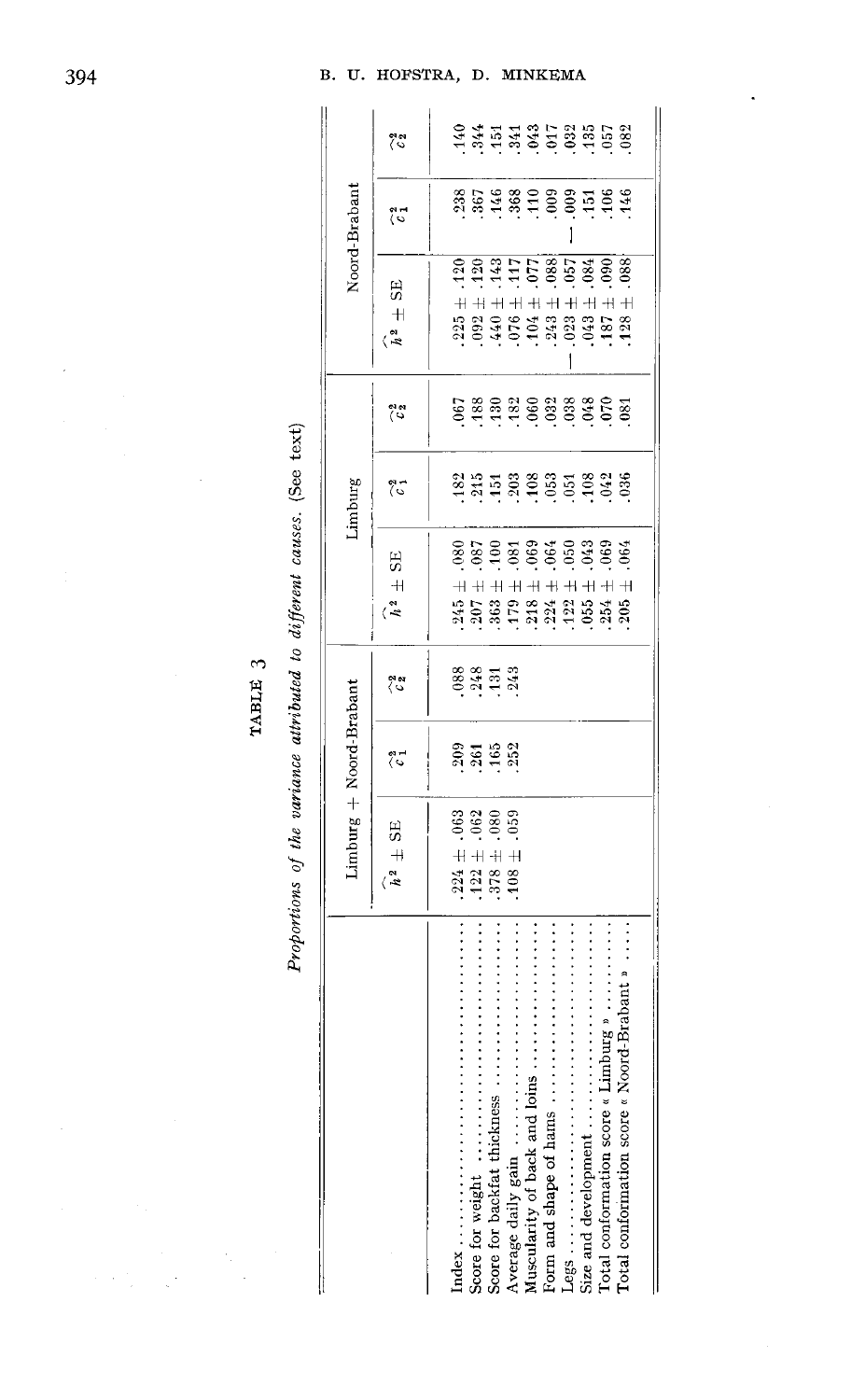| ۴<br>٦<br>۳ |  |
|-------------|--|
|             |  |

l,

 $\frac{d\mathbf{r}}{d\mathbf{r}} = \frac{d\mathbf{r}}{d\mathbf{r}}$ 

 $\frac{1}{2}$ 

 $\mathcal{L} \rightarrow \mathcal{L}_{\text{max}}^{(1)}$ 

 $\overline{\phantom{a}}$ 

Proportions of the variance attributed to different causes. (See text)

|                                          | Limburg + Noord-Brabant                                                        |               |               |                                         | Limburg       |                       |                                      | Noord-Brabant |                                |
|------------------------------------------|--------------------------------------------------------------------------------|---------------|---------------|-----------------------------------------|---------------|-----------------------|--------------------------------------|---------------|--------------------------------|
|                                          | 55<br>$\ddot{+}$<br>$\langle \frac{2}{3} \rangle$                              | $\frac{3}{6}$ | $\frac{5}{6}$ | SE<br>$\overline{+}$<br>$\frac{2}{h^2}$ | $\frac{2}{3}$ | $\tilde{\varepsilon}$ | 5E)<br>$\overline{+}$<br>$\hat{h}^2$ | $\frac{2}{3}$ | ្លឹ                            |
| Index                                    |                                                                                |               |               |                                         |               |                       | 120                                  |               |                                |
| Score for weight                         | $\pm\hspace{-0.08cm}\pm\hspace{-0.08cm}\pm\hspace{-0.08cm}\pm\hspace{-0.08cm}$ |               |               | $+$                                     |               |                       |                                      |               |                                |
| Score for backfat thickness              | <b>3385</b><br>21288                                                           | ន្តិដូច្និ    | 88353         | $+$                                     |               |                       |                                      |               |                                |
| Average daily gain $\dots\dots$          | $^+$                                                                           |               |               | $\overline{+}$                          |               |                       |                                      |               |                                |
| Muscularity of back and loins            |                                                                                |               |               | <b>882885888</b><br>$\overline{+}$      | 225232532336  |                       | 20115852888                          | 335482999749  | <b>44543535533</b><br>44543558 |
| Form and shape of hams                   |                                                                                |               |               | $\ddot{+}$                              |               |                       |                                      |               |                                |
| $Legs\ldots\ldots\ldots$                 |                                                                                |               |               | $\ddot{}$                               |               |                       |                                      |               |                                |
| Size and development                     |                                                                                |               |               |                                         |               |                       |                                      |               |                                |
| Total conformation score « Limburg »     |                                                                                |               |               | $+$                                     |               |                       |                                      |               |                                |
| Total conformation score « Noord-Brabant |                                                                                |               |               | 64<br>$+$                               |               |                       |                                      |               |                                |
|                                          |                                                                                |               |               |                                         |               |                       |                                      |               |                                |

l,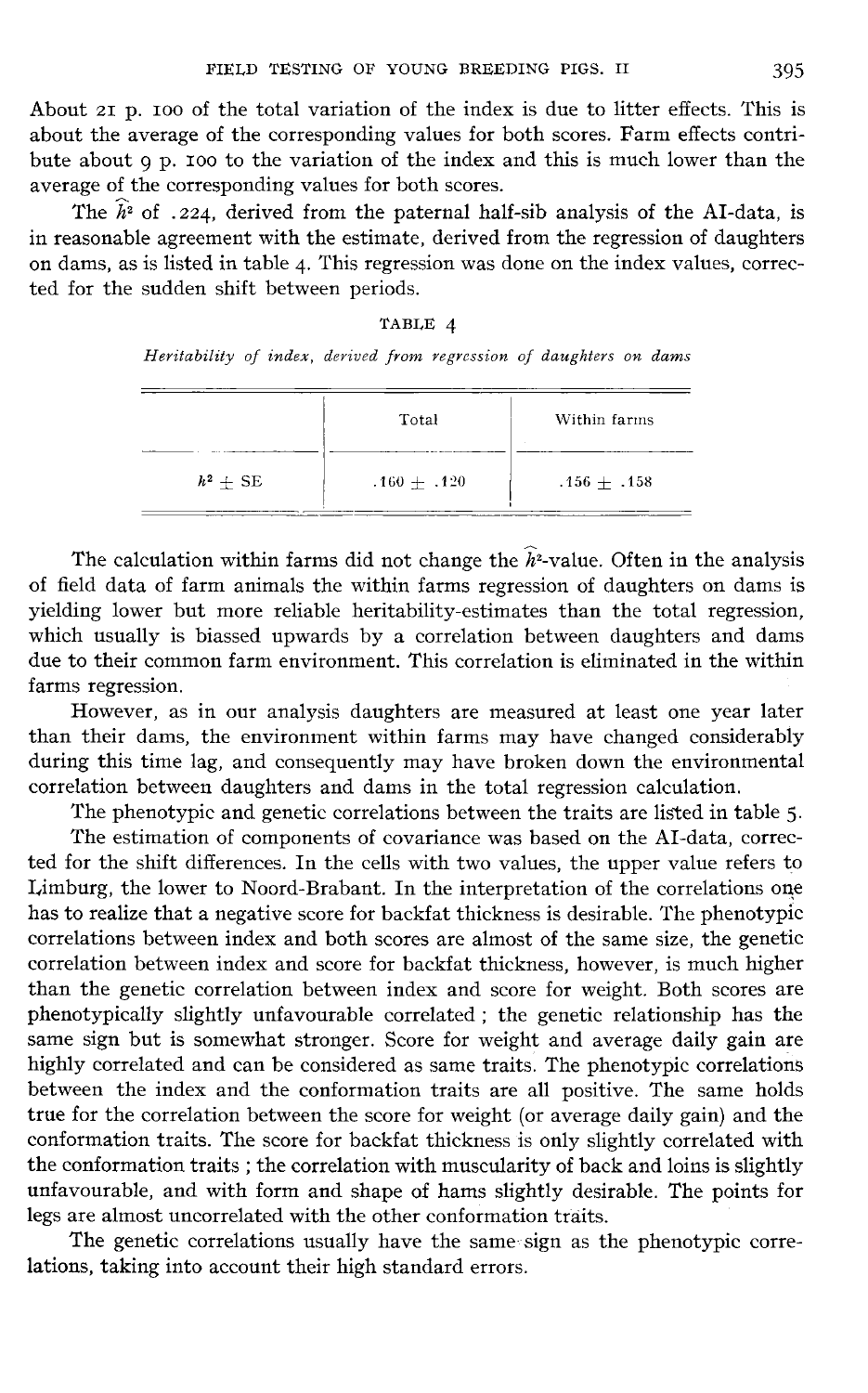About 21 p. 100 of the total variation of the index is due to litter effects. This is about the average of the corresponding values for both scores. Farm effects contribute about 9 p. 100 to the variation of the index and this is much lower than the average of the corresponding values for both scores.

The  $\widehat{h}^2$  of .224, derived from the paternal half-sib analysis of the AI-data, is in reasonable agreement with the estimate, derived from the regression of daughters on dams, as is listed in table 4. This regression was done on the index values, corrected for the sudden shift between periods.

| TABLE | $\overline{4}$ |
|-------|----------------|
|-------|----------------|

Heritability of index, derived from regression of daughters on dams

|                     | Total           | Within farms  |
|---------------------|-----------------|---------------|
| $h^2 \pm \text{SE}$ | $.160 \pm .120$ | $.156\pm.158$ |

 $h^2 \pm SE$  .  $160 \pm .120$  .  $156 \pm .158$ <br>
The calculation within farms did not change the  $\hat{h}^2$ -value. Often in the analysis<br>
of field data of farm animals the within farms regression of daughters on dams is yielding lower but more reliable heritability-estimates than the total regression, which usually is biassed upwards by a correlation between daughters and dams due to their common farm environment. This correlation is eliminated in the within farms regression.

However, as in our analysis daughters are measured at least one year later than their dams, the environment within farms may have changed considerably during this time lag, and consequently may have broken down the environmental correlation between daughters and dams in the total regression calculation.

The phenotypic and genetic correlations between the traits are listed in table 5.

The estimation of components of covariance was based on the AI-data, corrected for the shift differences. In the cells with two values, the upper value refers to Limburg, the lower to Noord-Brabant. In the interpretation of the correlations one has to realize that a negative score for backfat thickness is desirable. The phenotypic correlations between index and both scores are almost of the same size, the genetic correlation between index and score for backfat thickness, however, is much higher than the genetic correlation between index and score for weight. Both scores are phenotypically slightly unfavourable correlated ; the genetic relationship has the same sign but is somewhat stronger. Score for weight and average daily gain are highly correlated and can be considered as same traits. The phenotypic correlations between the index and the conformation traits are all positive. The same holds true for the correlation between the score for weight (or average daily gain) and the conformation traits. The score for backfat thickness is only slightly correlated with the conformation traits ; the correlation with muscularity of back and loins is slightly unfavourable, and with form and shape of hams slightly desirable. The points for legs are almost uncorrelated with the other conformation traits.

The genetic correlations usually have the same sign as the phenotypic correlations, taking into account their high standard errors.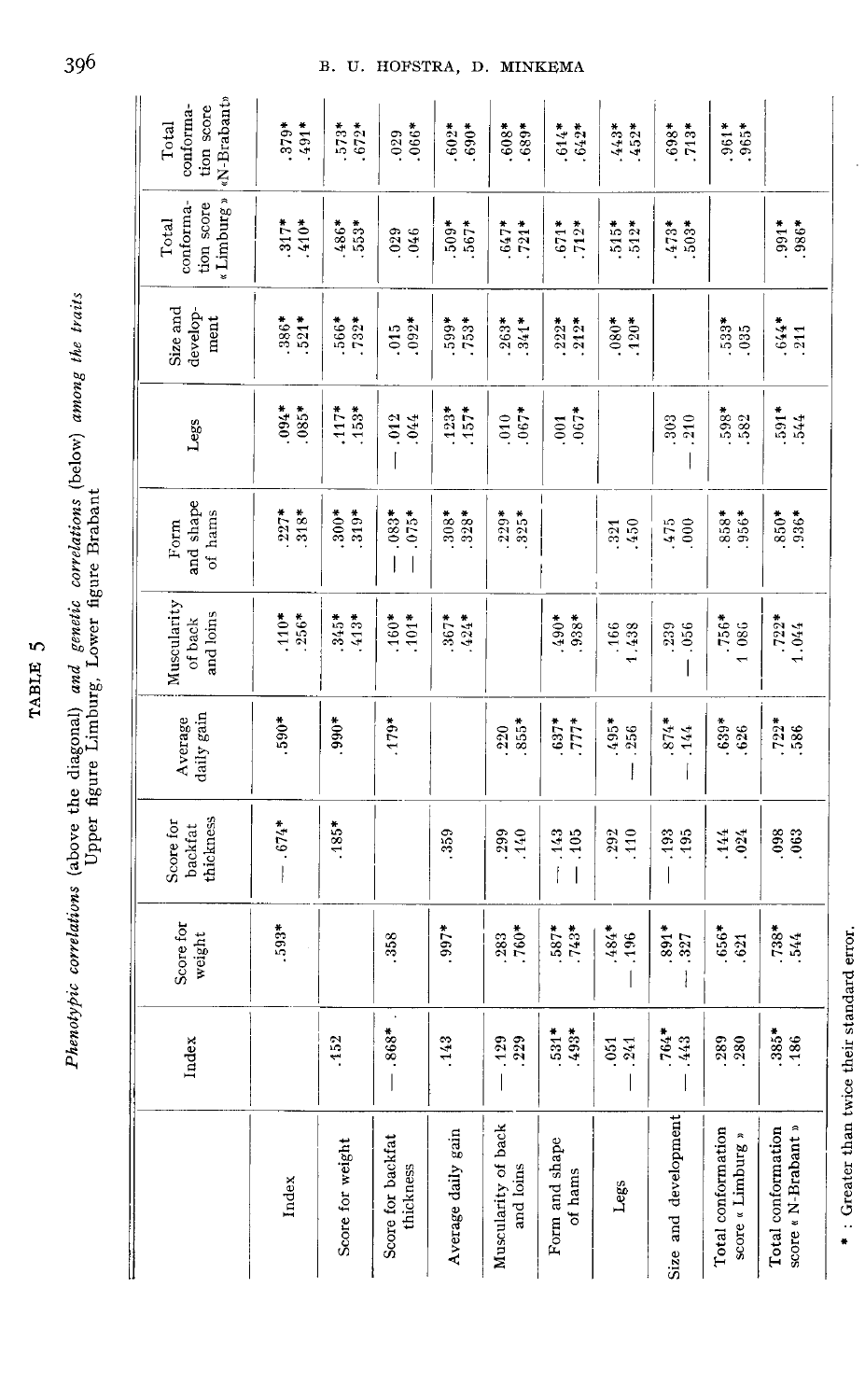| 1.5<br>winner.                                  |                                                                   |
|-------------------------------------------------|-------------------------------------------------------------------|
|                                                 |                                                                   |
| <b>CART CART</b><br>al) and genetic correlation |                                                                   |
|                                                 |                                                                   |
|                                                 | ı                                                                 |
| $\n  <$ Ullu $\n $<br>the diagonal              | Inner figure I impure I out found<br>Ther morning the reader were |
| ;<br>;<br>;                                     |                                                                   |
| annons (above<br>re esta esta                   |                                                                   |
|                                                 |                                                                   |

TABLE 5

|                                                                                             | Index           | Score for<br>weight  | thickness<br>Score for<br>backfat | daily gain<br>Average | Muscularity<br>and loins<br>of back | and shape<br>of hams<br>$_{\rm Form}$ | Legs                      | Size and<br>develop-<br>ment | « Limburg »<br>conforma-<br>tion score<br>Total | «N-Brabant»<br>conforma-<br>tion score<br>Total |
|---------------------------------------------------------------------------------------------|-----------------|----------------------|-----------------------------------|-----------------------|-------------------------------------|---------------------------------------|---------------------------|------------------------------|-------------------------------------------------|-------------------------------------------------|
| Index                                                                                       |                 | $.593*$              | $-0.674*$                         | $*065$ .              | $.110*$<br>$.256*$                  | $.318*$<br>$.227*$                    | $*760.$<br>$085*$         | .386*<br>$.521*$             | $.317*$<br>$*014.$                              | $*165$ .<br>$.379*$                             |
| Score for weight                                                                            | 152             |                      | $.185*$                           | $*066.$               | $34.5*$<br>.413*                    | $.300*$<br>$.319*$                    | $.117*$<br>$.153*$        | 566*<br>$.732*$              | *886*<br>$.553*$                                | $573*$<br>$.672*$                               |
| Score for backfat<br>thickness                                                              | 868*<br>Ī       | .358                 |                                   | $.179*$               | .160*<br>.101*                      | $.083*$<br>$.075*$                    | .012<br>.044              | $.092*$<br>.015              | .029<br>046                                     | .066*<br>029                                    |
| Average daily gain                                                                          | 143             | $*266.$              | .359                              |                       | .367*<br>$.424*$                    | $.308*$<br>$.328*$                    | $.123*$<br>$.157*$        | 599*<br>$753*$               | $.509*$<br>$.567*$                              | 602*<br>$.690*$                                 |
| Muscularity of back<br>and loins                                                            | 129<br>229      | $.283$<br>.760*      | 299<br>.140                       | $.855*$<br>.220       |                                     | $.229*$<br>$.325*$                    | $.067*$<br>010            | $.341*$<br>$.263*$           | $*279$<br>$.721*$                               | .608*<br>.689*                                  |
| Form and shape<br>$% \left( \mathcal{N}_{1},\mathcal{N}_{2},\mathcal{N}_{3}\right)$ of hams | $531*$<br>493*  | $587*$<br>$743*$     | .143<br>.105                      | 637*<br>$.777*$       | $*067.$<br>.938*                    |                                       | $.067*$<br>$\overline{6}$ | $.222*$<br>$.212*$           | $.671*$<br>$.712*$                              | $.614*$<br>$.642*$                              |
| Legs                                                                                        | $- .241$<br>051 | $.484*$<br>.196      | .292<br>110                       | *495*<br>$256\,$      | .166<br>.438                        | 450<br>321                            |                           | $.080*$<br>$.120*$           | $515*$<br>$.512*$                               | 443*<br>452*                                    |
| Size and development                                                                        | $.764*$<br>443  | $*168.$<br>.327<br>ļ | .193<br>.195                      | $.874*$<br>.144       | .239<br>.056                        | 475<br>600                            | .303<br>.210              |                              | .473*<br>$.503*$                                | *869.<br>$.713*$                                |
| Total conformation<br>score « Limburg »                                                     | 289<br>280      | .656*<br>.621        | .144<br>.024                      | 639*<br>626           | $.756*$<br>086                      | $.858*$<br>$.956*$                    | $598*$<br>.582            | $.533*$<br>.035              |                                                 | $.961*$<br>$.965*$                              |
| score « N-Brabant »<br>Total conformation                                                   | $385*$<br>186   | .544                 | $.098$ .                          | $.722*$               | $.722*$<br>1.044                    | $.850*$<br>936*                       | $.591*$                   | $.644*$<br>.211              | $•1991*$<br>$•986*$                             |                                                 |

396

\* : Greater than twice their standard error.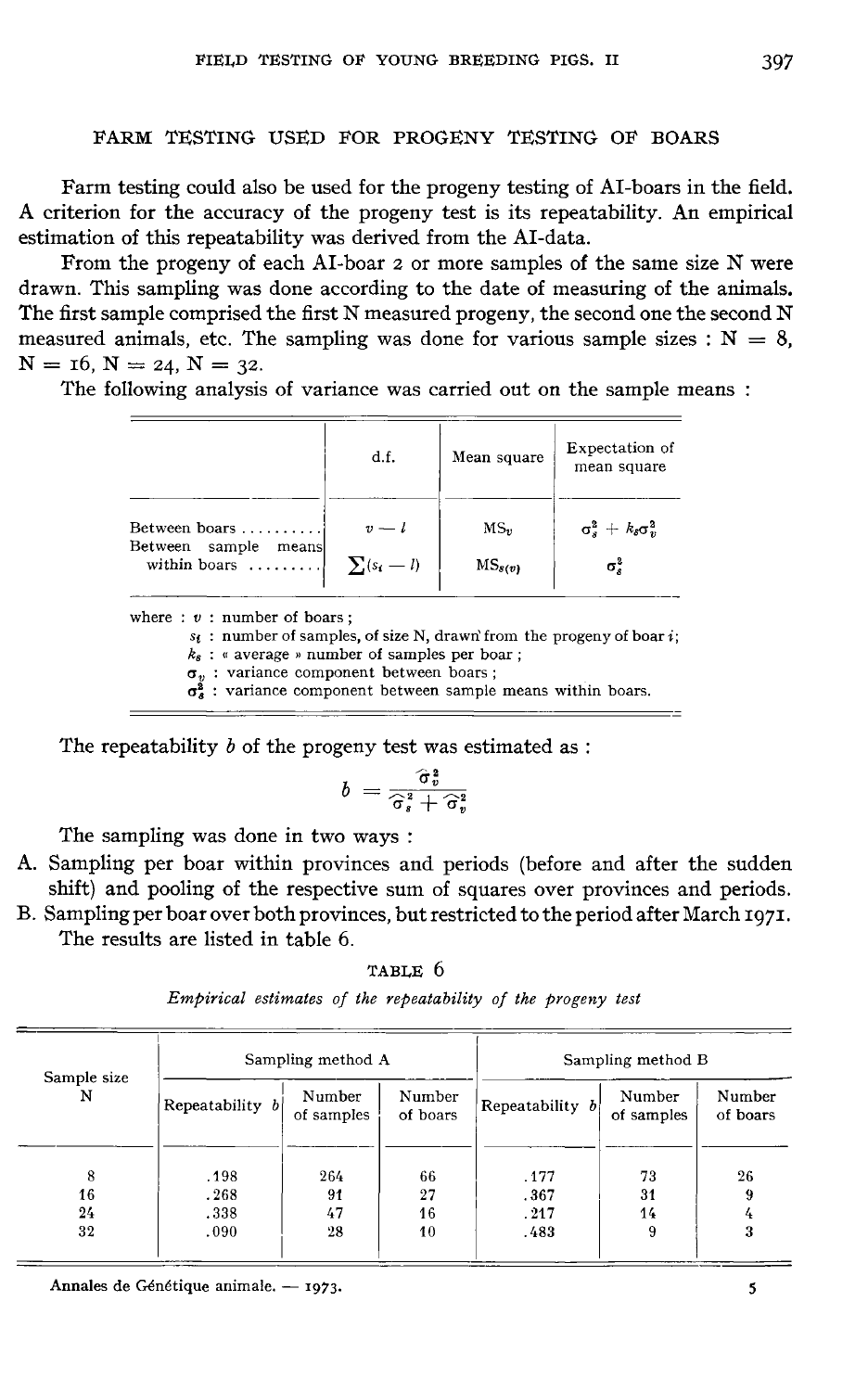FARM TESTING USED FOR PROGENY TESTING OF BOARS

Farm testing could also be used for the progeny testing of AI-boars in the field. A criterion for the accuracy of the progeny test is its repeatability. An empirical estimation of this repeatability was derived from the AI-data.

From the progeny of each AI-boar 2 or more samples of the same size N were drawn. This sampling was done according to the date of measuring of the animals. The first sample comprised the first N measured progeny, the second one the second N measured animals, etc. The sampling was done for various sample sizes :  $N = 8$ ,  $N = 16$ ,  $N = 24$ ,  $N = 32$ . FIELD TESTING<br>
FARM TESTING USED I<br>
Farm testing could also be usee<br>
A criterion for the accuracy of the<br>
estimation of this repeatability was<br>
From the progeny of each AI-<br>
drawn. This sampling was done acc<br>
The first sa

The following analysis of variance was carried out on the sample means :

|                                                       | d.f.             | Mean square | Expectation of<br>mean square |
|-------------------------------------------------------|------------------|-------------|-------------------------------|
| Between boars $\dots \dots$                           | $v - l$          | $MS_v$      | $\sigma_s^2 + k_s \sigma_v^2$ |
| Between sample<br>means<br>within boars $\dots \dots$ | $\sum (s_i - l)$ | $MS_{s(v)}$ | $\sigma_s^2$                  |

where :  $v$  : number of boars :

 $s_i$ : number of samples, of size N, drawn from the progeny of boar *i*;

 $k_{s}$ : « average » number of samples per boar:

 $\sigma_{\rm m}$ : variance component between boars:

 $\sigma_{\rm z}^2$ : variance component between sample means within boars.

The repeatability b of the progeny test was estimated as :

$$
b\,=\frac{\widehat{\sigma}^{\,2}_v}{\widehat{\sigma}^{\,2}_s+\widehat{\sigma}^{\,2}_v}
$$

The sampling was done in two ways :

- A. Sampling per boar within provinces and periods (before and after the sudden shift) and pooling of the respective sum of squares over provinces and periods.
- B. Sampling per boar over both provinces, but restricted to the period after March 1971 . The results are listed in table 6.

TABLE 6

| Empirical estimates of the repeatability of the progeny test |  |  |  |  |  |  |  |
|--------------------------------------------------------------|--|--|--|--|--|--|--|
|--------------------------------------------------------------|--|--|--|--|--|--|--|

|                  |                   | Sampling method A    |                    |                   | Sampling method B    |                    |
|------------------|-------------------|----------------------|--------------------|-------------------|----------------------|--------------------|
| Sample size<br>N | Repeatability $b$ | Number<br>of samples | Number<br>of boars | Repeatability $b$ | Number<br>of samples | Number<br>of boars |
|                  |                   |                      |                    |                   |                      |                    |
| 8                | .198              | 264                  | 66                 | .177              | 73                   | 26                 |
| 16               | .268              | 91                   | 27                 | .367              | 31                   | 9                  |
| 24               | .338              | 47                   | 16                 | . 217             | 14                   |                    |
| 32               | .090              | 28                   | 10                 | .483              | 9                    | 3                  |

Annales de Génétique animale. — 1973.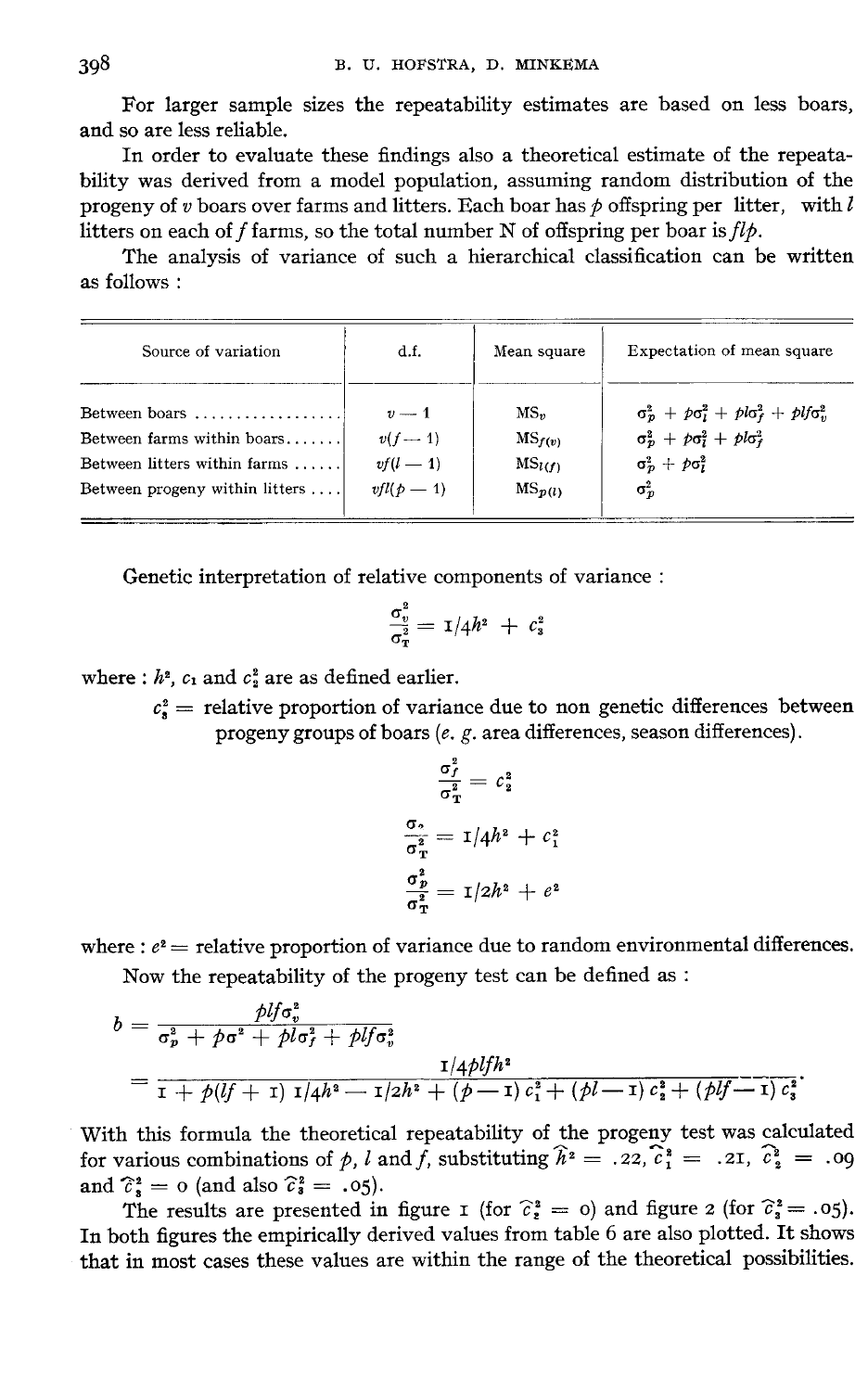For larger sample sizes the repeatability estimates are based on less boars, and so are less reliable.

In order to evaluate these findings also a theoretical estimate of the repeatability was derived from a model population, assuming random distribution of the progeny of v boars over farms and litters. Each boar has  $\phi$  offspring per litter, with l litters on each of f farms, so the total number N of offspring per boar is  $f\psi$ .

The analysis of variance of such a hierarchical classification can be written as follows :

| Source of variation                    | d.f.       | Mean square    | Expectation of mean square                                      |
|----------------------------------------|------------|----------------|-----------------------------------------------------------------|
| Between boars                          | $v = 1$    | $MS_n$         | $\sigma_n^2 + p \sigma_1^2 + p l \sigma_f^2 + p l f \sigma_n^2$ |
| Between farms within boars             | $v(f-1)$   | $MS_{f(v)}$    | $\sigma_p^2$ + $p\sigma_l^2$ + $p l \sigma_f^2$                 |
| Between litters within farms           | $vt(l-1)$  | $MS_{\ell(f)}$ | $\sigma_n^2 + \rho \sigma_l^2$                                  |
| Between progeny within litters $\dots$ | $vfl(b-1)$ | $MS_{p(l)}$    | $\sigma_{\bm n}^2$                                              |

Genetic interpretation of relative components of variance :

$$
\frac{\sigma_v^2}{\sigma_{\rm T}^2} = \frac{1}{4}h^2 + c_s^2
$$

where :  $h^2$ ,  $c_1$  and  $c_2^2$  are as defined earlier.

 $c_s^2$  = relative proportion of variance due to non genetic differences between progeny groups of boars  $(e, \, g)$  area differences, season differences).

$$
\frac{\sigma_f^2}{\sigma_{\rm T}^2} = c_{\rm a}^2
$$

$$
\frac{\sigma_{\rm a}^2}{\sigma_{\rm T}^2} = 1/4h^2 + c_{\rm 1}^2
$$

$$
\frac{\sigma_{\rm p}^2}{\sigma_{\rm T}^2} = 1/2h^2 + e^2
$$

where :  $e^2$  = relative proportion of variance due to random environmental differences.

Now the repeatability of the progeny test can be defined as :

$$
b = \frac{plf\sigma_v^2}{\sigma_p^2 + \rho\sigma^2 + \rho l\sigma_f^2 + \rho l f\sigma_v^2}
$$
  
= 
$$
\frac{I/4plfh^2}{I + \rho(lf + 1) I/4h^2 - I/2h^2 + (p-1)c_1^2 + (pl-1)c_2^2 + (plf-1)c_s^2}.
$$

With this formula the theoretical repeatability of the progeny test was calculated for various combinations of p, l and  $\tilde{f}$ , substituting  $\hat{h}^2 = .22$ ,  $\hat{c}_1^2 = .21$ ,  $\hat{c}_2^2 = .09$ <br>and  $\hat{c}_3^2 = 0$  (and also  $\hat{c}_3^2 = .05$ ).<br>The presented in fours  $\tilde{c}_3^2 = 0$  and fours  $2$  (for  $\hat{c}_3^2 = .05$ and  $\hat{c}_3^2 = 0$  (and also  $\hat{c}_3^2 = .05$ ).

The results are presented in figure I (for  $\hat{c}_z^2 = 0$ ) and figure 2 (for  $\hat{c}_3^2 = .05$ ). In both figures the empirically derived values from table 6 are also plotted. It shows that in most cases these values are within the range of the theoretical possibilities.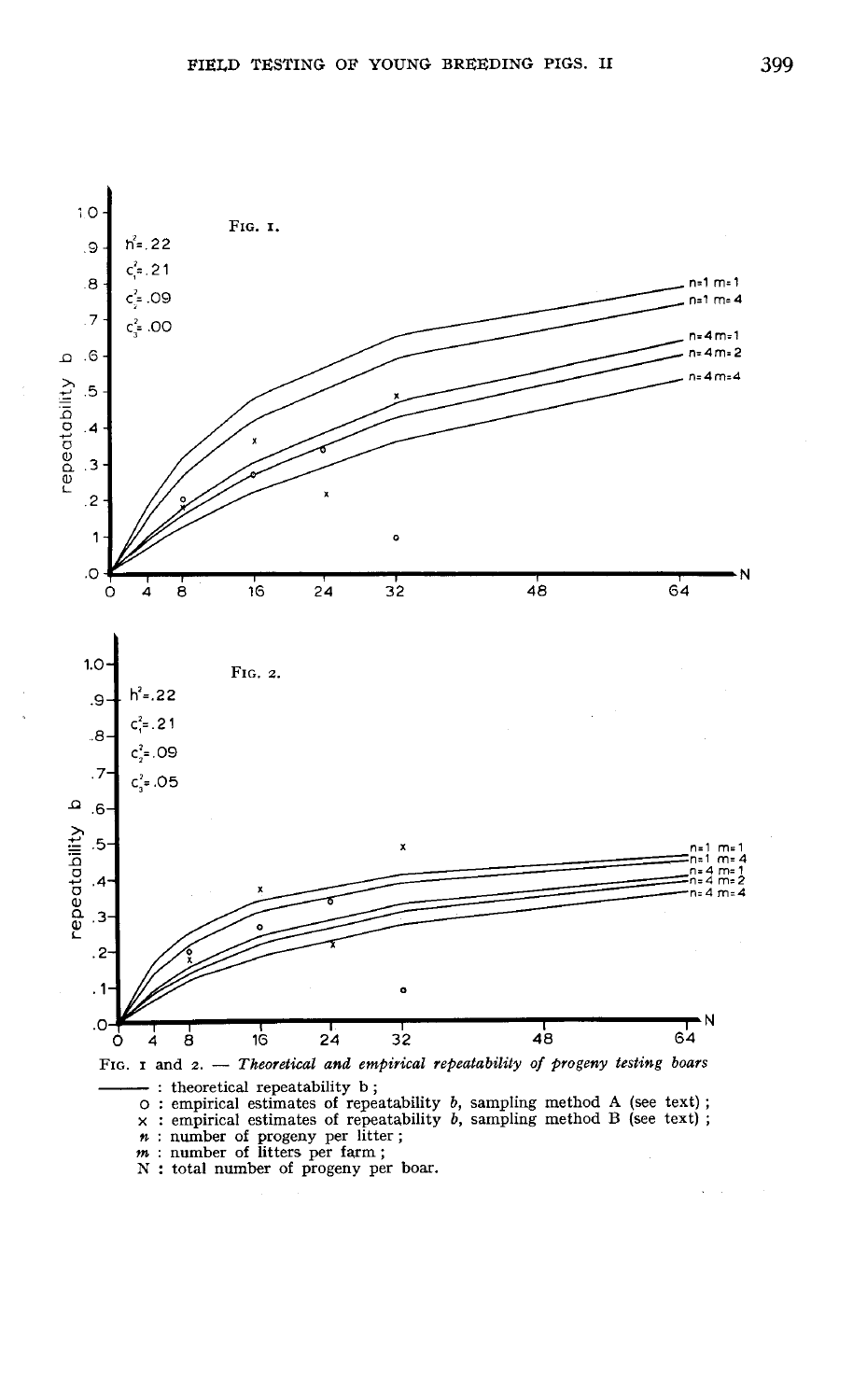

399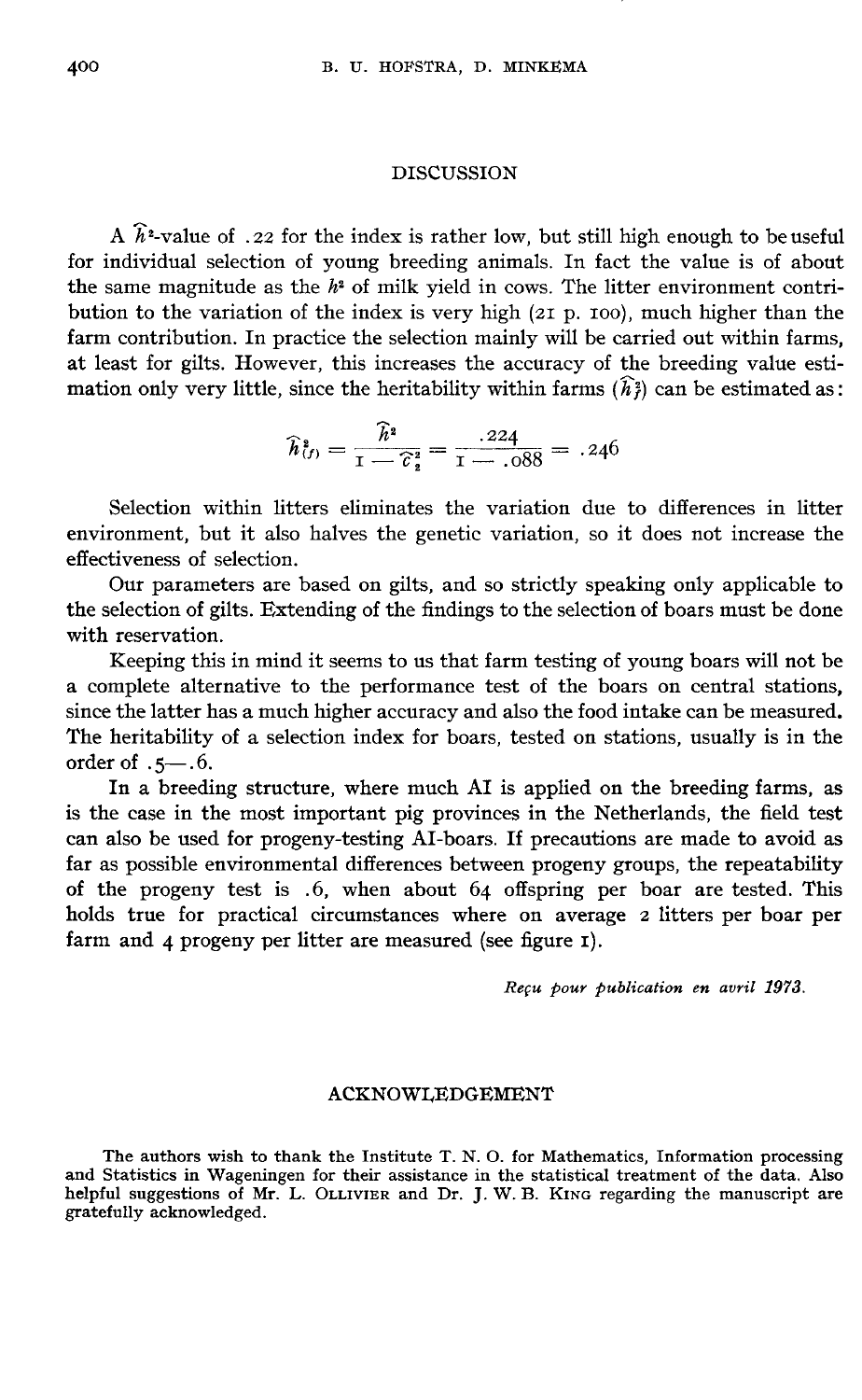#### DISCUSSION

DISCUSSION<br>
A  $\hat{h}^2$ -value of .22 for the index is rather low, but still high enough to be useful<br>
for individual selection of young breeding animals. In fact the value is of about A  $\hat{h}^2$ -value of .22 for the index is rather low, but still high enough to be useful for individual selection of young breeding animals. In fact the value is of about the same magnitude as the  $h^2$  of milk yield in c bution to the variation of the index is very high  $(2I\ p.\ I00)$ , much higher than the farm contribution. In practice the selection mainly will be carried out within farms, at least for gilts. However, this increases the accuracy of the breeding value estimation only very little, since the heritability within farms  $(\widehat{k}_i)$  can be estimated as:

$$
\widehat{h}_{(f)}^2 = \frac{\widehat{h}^2}{1 - \widehat{c}_2^2} = \frac{.224}{1 - .088} = .246
$$

Selection within litters eliminates the variation due to differences in litter environment, but it also halves the genetic variation, so it does not increase the effectiveness of selection.

Our parameters are based on gilts, and so strictly speaking only applicable to the selection of gilts. Extending of the findings to the selection of boars must be done with reservation.

Keeping this in mind it seems to us that farm testing of young boars will not be a complete alternative to the performance test of the boars on central stations, since the latter has a much higher accuracy and also the food intake can be measured. The heritability of a selection index for boars, tested on stations, usually is in the order of  $.5-.6$ .

In a breeding structure, where much AI is applied on the breeding farms, as is the case in the most important pig provinces in the Netherlands, the field test can also be used for progeny-testing AI-boars. If precautions are made to avoid as far as possible environmental differences between progeny groups, the repeatability of the progeny test is .6, when about 64 offspring per boar are tested. This holds true for practical circumstances where on average 2 litters per boar per of the progeny test is  $.6$ , when about 64 offspring  $\vert$  holds true for practical circumstances where on avera farm and 4 progeny per litter are measured (see figure  $\vert$ ).

Reçu pour publication en avril 1973.

## ACKNOWLEDGEMENT

The authors wish to thank the Institute T. N. 0. for Mathematics, Information processing and Statistics in Wageningen for their assistance in the statistical treatment of the data. Also helpful suggestions of Mr. L. OLLIVIER and Dr. J. W. B. KING regarding the manuscript are gratefully acknowledged.